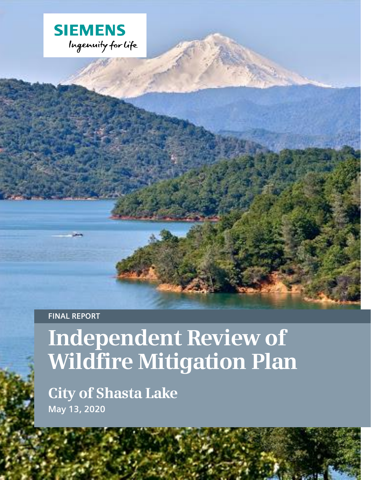

**FINAL REPORT**

# **Independent Review of Wildfire Mitigation Plan**

**City of Shasta Lake May 13, 2020**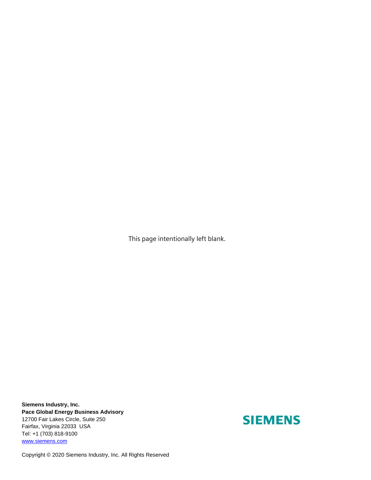This page intentionally left blank.

**Siemens Industry, Inc. Pace Global Energy Business Advisory** 12700 Fair Lakes Circle, Suite 250 Fairfax, Virginia 22033 USA Tel: +1 (703) 818-9100 [www.siemens.com](http://www.paceglobal.com/)

## **SIEMENS**

Copyright © 2020 Siemens Industry, Inc. All Rights Reserved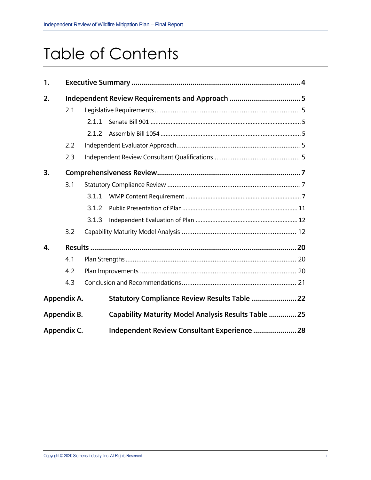## Table of Contents

| 1.          |     |       |                                                      |  |
|-------------|-----|-------|------------------------------------------------------|--|
| 2.          |     |       | Independent Review Requirements and Approach 5       |  |
|             | 2.1 |       |                                                      |  |
|             |     | 2.1.1 |                                                      |  |
|             |     | 2.1.2 |                                                      |  |
|             | 2.2 |       |                                                      |  |
|             | 2.3 |       |                                                      |  |
| 3.          |     |       |                                                      |  |
|             | 3.1 |       |                                                      |  |
|             |     | 3.1.1 |                                                      |  |
|             |     | 3.1.2 |                                                      |  |
|             |     | 3.1.3 |                                                      |  |
|             | 3.2 |       |                                                      |  |
| 4.          |     |       |                                                      |  |
|             | 4.1 |       |                                                      |  |
|             | 4.2 |       |                                                      |  |
|             | 4.3 |       |                                                      |  |
| Appendix A. |     |       | Statutory Compliance Review Results Table  22        |  |
| Appendix B. |     |       | Capability Maturity Model Analysis Results Table  25 |  |
| Appendix C. |     |       | Independent Review Consultant Experience  28         |  |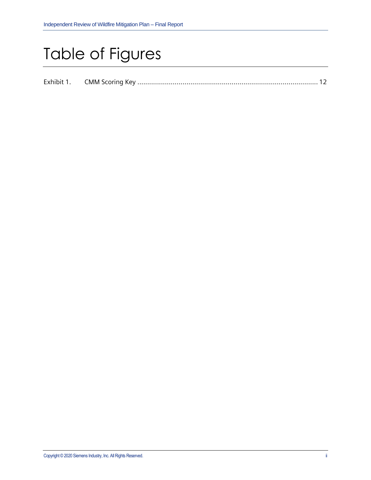## Table of Figures

| Exhibit 1 |  |  |  |  |
|-----------|--|--|--|--|
|-----------|--|--|--|--|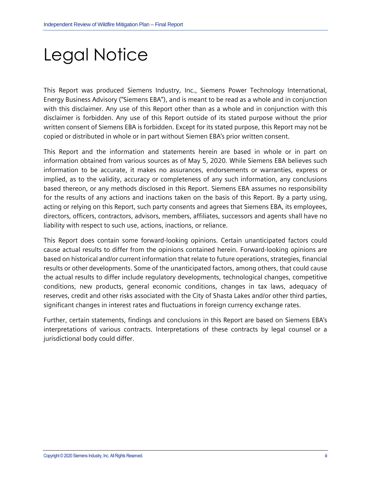# Legal Notice

This Report was produced Siemens Industry, Inc., Siemens Power Technology International, Energy Business Advisory ("Siemens EBA"), and is meant to be read as a whole and in conjunction with this disclaimer. Any use of this Report other than as a whole and in conjunction with this disclaimer is forbidden. Any use of this Report outside of its stated purpose without the prior written consent of Siemens EBA is forbidden. Except for its stated purpose, this Report may not be copied or distributed in whole or in part without Siemen EBA's prior written consent.

This Report and the information and statements herein are based in whole or in part on information obtained from various sources as of May 5, 2020. While Siemens EBA believes such information to be accurate, it makes no assurances, endorsements or warranties, express or implied, as to the validity, accuracy or completeness of any such information, any conclusions based thereon, or any methods disclosed in this Report. Siemens EBA assumes no responsibility for the results of any actions and inactions taken on the basis of this Report. By a party using, acting or relying on this Report, such party consents and agrees that Siemens EBA, its employees, directors, officers, contractors, advisors, members, affiliates, successors and agents shall have no liability with respect to such use, actions, inactions, or reliance.

This Report does contain some forward-looking opinions. Certain unanticipated factors could cause actual results to differ from the opinions contained herein. Forward-looking opinions are based on historical and/or current information that relate to future operations, strategies, financial results or other developments. Some of the unanticipated factors, among others, that could cause the actual results to differ include regulatory developments, technological changes, competitive conditions, new products, general economic conditions, changes in tax laws, adequacy of reserves, credit and other risks associated with the City of Shasta Lakes and/or other third parties, significant changes in interest rates and fluctuations in foreign currency exchange rates.

Further, certain statements, findings and conclusions in this Report are based on Siemens EBA's interpretations of various contracts. Interpretations of these contracts by legal counsel or a jurisdictional body could differ.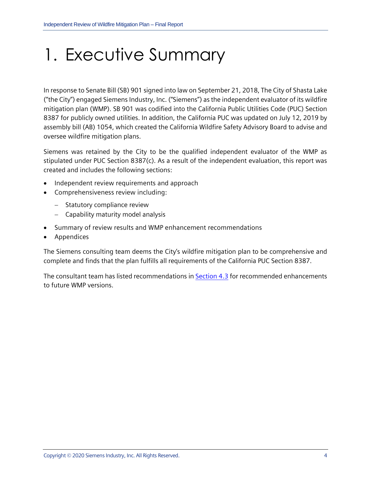# <span id="page-5-0"></span>1. Executive Summary

In response to Senate Bill (SB) 901 signed into law on September 21, 2018, The City of Shasta Lake ("the City") engaged Siemens Industry, Inc. ("Siemens") as the independent evaluator of its wildfire mitigation plan (WMP). SB 901 was codified into the California Public Utilities Code (PUC) Section 8387 for publicly owned utilities. In addition, the California PUC was updated on July 12, 2019 by assembly bill (AB) 1054, which created the California Wildfire Safety Advisory Board to advise and oversee wildfire mitigation plans.

Siemens was retained by the City to be the qualified independent evaluator of the WMP as stipulated under PUC Section 8387(c). As a result of the independent evaluation, this report was created and includes the following sections:

- Independent review requirements and approach
- Comprehensiveness review including:
	- − Statutory compliance review
	- − Capability maturity model analysis
- Summary of review results and WMP enhancement recommendations
- **Appendices**

The Siemens consulting team deems the City's wildfire mitigation plan to be comprehensive and complete and finds that the plan fulfills all requirements of the California PUC Section 8387.

The consultant team has listed recommendations i[n Section 4.3](#page-22-0) for recommended enhancements to future WMP versions.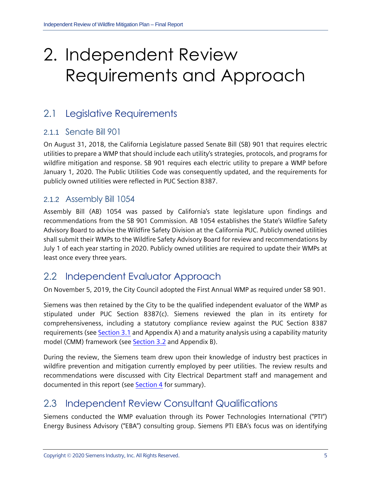# <span id="page-6-0"></span>2. Independent Review Requirements and Approach

### <span id="page-6-1"></span>2.1 Legislative Requirements

#### <span id="page-6-2"></span>2.1.1 Senate Bill 901

On August 31, 2018, the California Legislature passed Senate Bill (SB) 901 that requires electric utilities to prepare a WMP that should include each utility's strategies, protocols, and programs for wildfire mitigation and response. SB 901 requires each electric utility to prepare a WMP before January 1, 2020. The Public Utilities Code was consequently updated, and the requirements for publicly owned utilities were reflected in PUC Section 8387.

#### <span id="page-6-3"></span>2.1.2 Assembly Bill 1054

Assembly Bill (AB) 1054 was passed by California's state legislature upon findings and recommendations from the SB 901 Commission. AB 1054 establishes the State's Wildfire Safety Advisory Board to advise the Wildfire Safety Division at the California PUC. Publicly owned utilities shall submit their WMPs to the Wildfire Safety Advisory Board for review and recommendations by July 1 of each year starting in 2020. Publicly owned utilities are required to update their WMPs at least once every three years.

### <span id="page-6-4"></span>2.2 Independent Evaluator Approach

On November 5, 2019, the City Council adopted the First Annual WMP as required under SB 901.

Siemens was then retained by the City to be the qualified independent evaluator of the WMP as stipulated under PUC Section 8387(c). Siemens reviewed the plan in its entirety for comprehensiveness, including a statutory compliance review against the PUC Section 8387 requirements (see [Section 3.1](#page-8-1) and [Appendix A\)](#page-23-0) and a maturity analysis using a capability maturity model (CMM) framework (see [Section 3.2](#page-13-1) and [Appendix B\)](#page-26-0).

During the review, the Siemens team drew upon their knowledge of industry best practices in wildfire prevention and mitigation currently employed by peer utilities. The review results and recommendations were discussed with City Electrical Department staff and management and documented in this report (se[e Section 4](#page-21-0) for summary).

## <span id="page-6-5"></span>2.3 Independent Review Consultant Qualifications

Siemens conducted the WMP evaluation through its Power Technologies International ("PTI") Energy Business Advisory ("EBA") consulting group. Siemens PTI EBA's focus was on identifying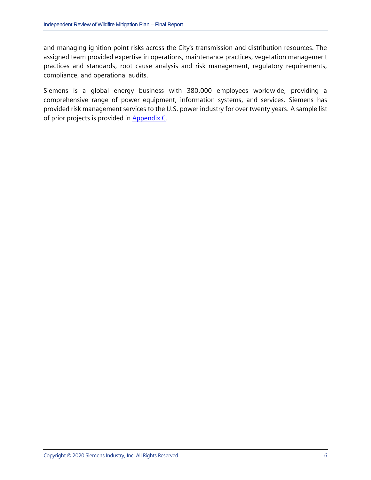and managing ignition point risks across the City's transmission and distribution resources. The assigned team provided expertise in operations, maintenance practices, vegetation management practices and standards, root cause analysis and risk management, regulatory requirements, compliance, and operational audits.

Siemens is a global energy business with 380,000 employees worldwide, providing a comprehensive range of power equipment, information systems, and services. Siemens has provided risk management services to the U.S. power industry for over twenty years. A sample list of prior projects is provided in [Appendix C.](#page-29-0)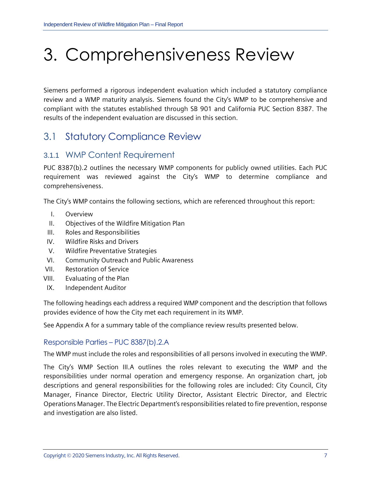# <span id="page-8-0"></span>3. Comprehensiveness Review

Siemens performed a rigorous independent evaluation which included a statutory compliance review and a WMP maturity analysis. Siemens found the City's WMP to be comprehensive and compliant with the statutes established through SB 901 and California PUC Section 8387. The results of the independent evaluation are discussed in this section.

### <span id="page-8-1"></span>3.1 Statutory Compliance Review

#### <span id="page-8-2"></span>3.1.1 WMP Content Requirement

PUC 8387(b).2 outlines the necessary WMP components for publicly owned utilities. Each PUC requirement was reviewed against the City's WMP to determine compliance and comprehensiveness.

The City's WMP contains the following sections, which are referenced throughout this report:

- I. Overview
- II. Objectives of the Wildfire Mitigation Plan
- III. Roles and Responsibilities
- IV. Wildfire Risks and Drivers
- V. Wildfire Preventative Strategies
- VI. Community Outreach and Public Awareness
- VII. Restoration of Service
- VIII. Evaluating of the Plan
- IX. Independent Auditor

The following headings each address a required WMP component and the description that follows provides evidence of how the City met each requirement in its WMP.

See [Appendix A](#page-23-0) for a summary table of the compliance review results presented below.

#### Responsible Parties – PUC 8387(b).2.A

The WMP must include the roles and responsibilities of all persons involved in executing the WMP.

The City's WMP Section III.A outlines the roles relevant to executing the WMP and the responsibilities under normal operation and emergency response. An organization chart, job descriptions and general responsibilities for the following roles are included: City Council, City Manager, Finance Director, Electric Utility Director, Assistant Electric Director, and Electric Operations Manager. The Electric Department's responsibilities related to fire prevention, response and investigation are also listed.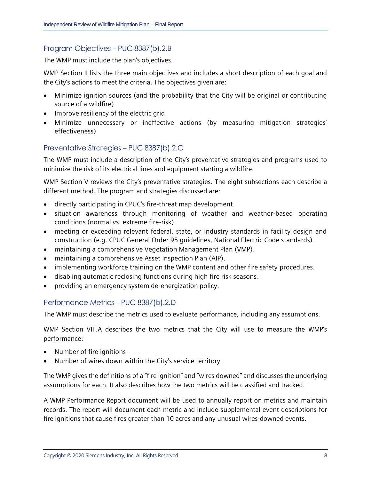#### Program Objectives – PUC 8387(b).2.B

The WMP must include the plan's objectives.

WMP Section II lists the three main objectives and includes a short description of each goal and the City's actions to meet the criteria. The objectives given are:

- Minimize ignition sources (and the probability that the City will be original or contributing source of a wildfire)
- Improve resiliency of the electric grid
- Minimize unnecessary or ineffective actions (by measuring mitigation strategies' effectiveness)

#### Preventative Strategies – PUC 8387(b).2.C

The WMP must include a description of the City's preventative strategies and programs used to minimize the risk of its electrical lines and equipment starting a wildfire.

WMP Section V reviews the City's preventative strategies. The eight subsections each describe a different method. The program and strategies discussed are:

- directly participating in CPUC's fire-threat map development.
- situation awareness through monitoring of weather and weather-based operating conditions (normal vs. extreme fire-risk).
- meeting or exceeding relevant federal, state, or industry standards in facility design and construction (e.g. CPUC General Order 95 guidelines, National Electric Code standards).
- maintaining a comprehensive Vegetation Management Plan (VMP).
- maintaining a comprehensive Asset Inspection Plan (AIP).
- implementing workforce training on the WMP content and other fire safety procedures.
- disabling automatic reclosing functions during high fire risk seasons.
- providing an emergency system de-energization policy.

#### Performance Metrics – PUC 8387(b).2.D

The WMP must describe the metrics used to evaluate performance, including any assumptions.

WMP Section VIII.A describes the two metrics that the City will use to measure the WMP's performance:

- Number of fire ignitions
- Number of wires down within the City's service territory

The WMP gives the definitions of a "fire ignition" and "wires downed" and discusses the underlying assumptions for each. It also describes how the two metrics will be classified and tracked.

A WMP Performance Report document will be used to annually report on metrics and maintain records. The report will document each metric and include supplemental event descriptions for fire ignitions that cause fires greater than 10 acres and any unusual wires-downed events.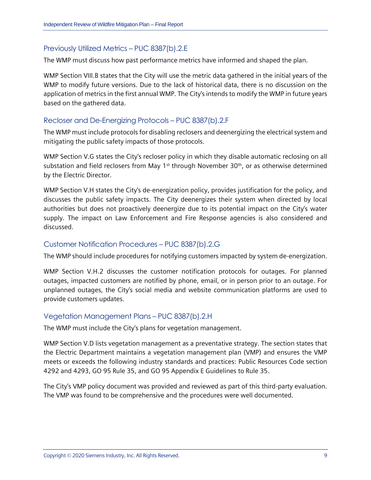#### Previously Utilized Metrics – PUC 8387(b).2.E

The WMP must discuss how past performance metrics have informed and shaped the plan.

WMP Section VIII.B states that the City will use the metric data gathered in the initial years of the WMP to modify future versions. Due to the lack of historical data, there is no discussion on the application of metrics in the first annual WMP. The City's intends to modify the WMP in future years based on the gathered data.

#### Recloser and De-Energizing Protocols – PUC 8387(b).2.F

The WMP must include protocols for disabling reclosers and deenergizing the electrical system and mitigating the public safety impacts of those protocols.

WMP Section V.G states the City's recloser policy in which they disable automatic reclosing on all substation and field reclosers from May 1<sup>st</sup> through November 30<sup>th</sup>, or as otherwise determined by the Electric Director.

WMP Section V.H states the City's de-energization policy, provides justification for the policy, and discusses the public safety impacts. The City deenergizes their system when directed by local authorities but does not proactively deenergize due to its potential impact on the City's water supply. The impact on Law Enforcement and Fire Response agencies is also considered and discussed.

#### Customer Notification Procedures – PUC 8387(b).2.G

The WMP should include procedures for notifying customers impacted by system de-energization.

WMP Section V.H.2 discusses the customer notification protocols for outages. For planned outages, impacted customers are notified by phone, email, or in person prior to an outage. For unplanned outages, the City's social media and website communication platforms are used to provide customers updates.

#### Vegetation Management Plans – PUC 8387(b).2.H

The WMP must include the City's plans for vegetation management.

WMP Section V.D lists vegetation management as a preventative strategy. The section states that the Electric Department maintains a vegetation management plan (VMP) and ensures the VMP meets or exceeds the following industry standards and practices: Public Resources Code section 4292 and 4293, GO 95 Rule 35, and GO 95 Appendix E Guidelines to Rule 35.

The City's VMP policy document was provided and reviewed as part of this third-party evaluation. The VMP was found to be comprehensive and the procedures were well documented.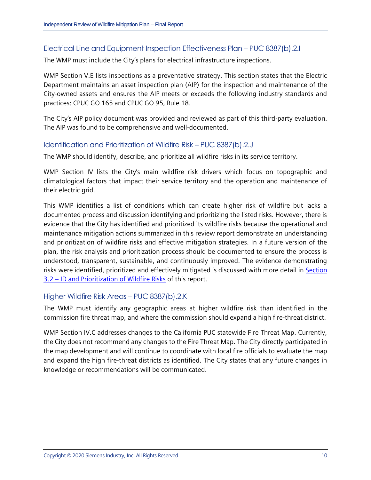#### Electrical Line and Equipment Inspection Effectiveness Plan – PUC 8387(b).2.I

The WMP must include the City's plans for electrical infrastructure inspections.

WMP Section V.E lists inspections as a preventative strategy. This section states that the Electric Department maintains an asset inspection plan (AIP) for the inspection and maintenance of the City-owned assets and ensures the AIP meets or exceeds the following industry standards and practices: CPUC GO 165 and CPUC GO 95, Rule 18.

The City's AIP policy document was provided and reviewed as part of this third-party evaluation. The AIP was found to be comprehensive and well-documented.

#### Identification and Prioritization of Wildfire Risk – PUC 8387(b).2.J

The WMP should identify, describe, and prioritize all wildfire risks in its service territory.

WMP Section IV lists the City's main wildfire risk drivers which focus on topographic and climatological factors that impact their service territory and the operation and maintenance of their electric grid.

This WMP identifies a list of conditions which can create higher risk of wildfire but lacks a documented process and discussion identifying and prioritizing the listed risks. However, there is evidence that the City has identified and prioritized its wildfire risks because the operational and maintenance mitigation actions summarized in this review report demonstrate an understanding and prioritization of wildfire risks and effective mitigation strategies. In a future version of the plan, the risk analysis and prioritization process should be documented to ensure the process is understood, transparent, sustainable, and continuously improved. The evidence demonstrating risks were identified, prioritized and effectively mitigated is discussed with more detail in [Section](#page-17-0)  3.2 – ID and [Prioritization of Wildfire Risks](#page-17-0) of this report.

#### Higher Wildfire Risk Areas – PUC 8387(b).2.K

The WMP must identify any geographic areas at higher wildfire risk than identified in the commission fire threat map, and where the commission should expand a high fire-threat district.

WMP Section IV.C addresses changes to the California PUC statewide Fire Threat Map. Currently, the City does not recommend any changes to the Fire Threat Map. The City directly participated in the map development and will continue to coordinate with local fire officials to evaluate the map and expand the high fire-threat districts as identified. The City states that any future changes in knowledge or recommendations will be communicated.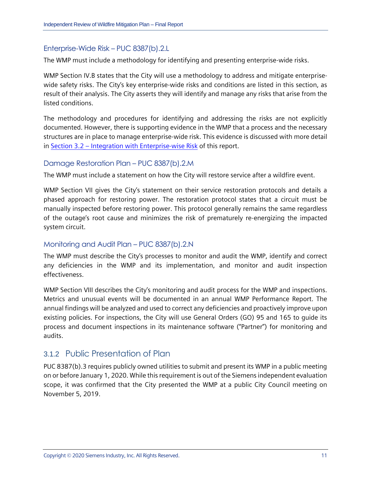#### Enterprise-Wide Risk – PUC 8387(b).2.L

The WMP must include a methodology for identifying and presenting enterprise-wide risks.

WMP Section IV.B states that the City will use a methodology to address and mitigate enterprisewide safety risks. The City's key enterprise-wide risks and conditions are listed in this section, as result of their analysis. The City asserts they will identify and manage any risks that arise from the listed conditions.

The methodology and procedures for identifying and addressing the risks are not explicitly documented. However, there is supporting evidence in the WMP that a process and the necessary structures are in place to manage enterprise-wide risk. This evidence is discussed with more detail in Section 3.2 – [Integration with Enterprise-wise Risk](#page-18-0) of this report.

#### Damage Restoration Plan – PUC 8387(b).2.M

The WMP must include a statement on how the City will restore service after a wildfire event.

WMP Section VII gives the City's statement on their service restoration protocols and details a phased approach for restoring power. The restoration protocol states that a circuit must be manually inspected before restoring power. This protocol generally remains the same regardless of the outage's root cause and minimizes the risk of prematurely re-energizing the impacted system circuit.

#### Monitoring and Audit Plan – PUC 8387(b).2.N

The WMP must describe the City's processes to monitor and audit the WMP, identify and correct any deficiencies in the WMP and its implementation, and monitor and audit inspection effectiveness.

WMP Section VIII describes the City's monitoring and audit process for the WMP and inspections. Metrics and unusual events will be documented in an annual WMP Performance Report. The annual findings will be analyzed and used to correct any deficiencies and proactively improve upon existing policies. For inspections, the City will use General Orders (GO) 95 and 165 to guide its process and document inspections in its maintenance software ("Partner") for monitoring and audits.

### <span id="page-12-0"></span>3.1.2 Public Presentation of Plan

PUC 8387(b).3 requires publicly owned utilities to submit and present its WMP in a public meeting on or before January 1, 2020. While this requirement is out of the Siemens independent evaluation scope, it was confirmed that the City presented the WMP at a public City Council meeting on November 5, 2019.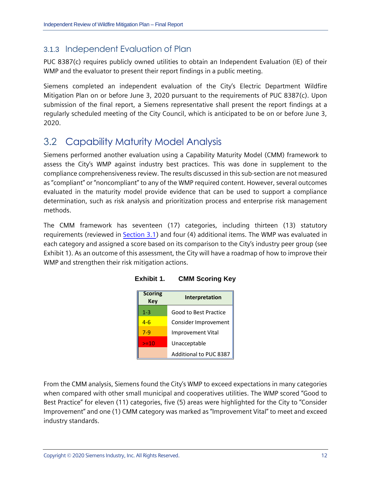#### <span id="page-13-0"></span>3.1.3 Independent Evaluation of Plan

PUC 8387(c) requires publicly owned utilities to obtain an Independent Evaluation (IE) of their WMP and the evaluator to present their report findings in a public meeting.

Siemens completed an independent evaluation of the City's Electric Department Wildfire Mitigation Plan on or before June 3, 2020 pursuant to the requirements of PUC 8387(c). Upon submission of the final report, a Siemens representative shall present the report findings at a regularly scheduled meeting of the City Council, which is anticipated to be on or before June 3, 2020.

### <span id="page-13-1"></span>3.2 Capability Maturity Model Analysis

Siemens performed another evaluation using a Capability Maturity Model (CMM) framework to assess the City's WMP against industry best practices. This was done in supplement to the compliance comprehensiveness review. The results discussed in this sub-section are not measured as "compliant" or "noncompliant" to any of the WMP required content. However, several outcomes evaluated in the maturity model provide evidence that can be used to support a compliance determination, such as risk analysis and prioritization process and enterprise risk management methods.

<span id="page-13-2"></span>The CMM framework has seventeen (17) categories, including thirteen (13) statutory requirements (reviewed in [Section 3.1\)](#page-8-1) and four (4) additional items. The WMP was evaluated in each category and assigned a score based on its comparison to the City's industry peer group (see [Exhibit 1\)](#page-13-2). As an outcome of this assessment, the City will have a roadmap of how to improve their WMP and strengthen their risk mitigation actions.

| <b>Scoring</b><br><b>Key</b> | <b>Interpretation</b>        |  |  |
|------------------------------|------------------------------|--|--|
| $1 - 3$                      | <b>Good to Best Practice</b> |  |  |
| $4-6$                        | Consider Improvement         |  |  |
| $7-9$                        | <b>Improvement Vital</b>     |  |  |
| $> = 10$                     | Unacceptable                 |  |  |
|                              | Additional to PUC 8387       |  |  |

**Exhibit 1. CMM Scoring Key**

From the CMM analysis, Siemens found the City's WMP to exceed expectations in many categories when compared with other small municipal and cooperatives utilities. The WMP scored "Good to Best Practice" for eleven (11) categories, five (5) areas were highlighted for the City to "Consider Improvement" and one (1) CMM category was marked as "Improvement Vital" to meet and exceed industry standards.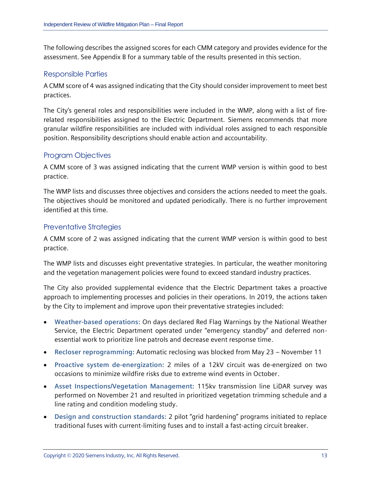The following describes the assigned scores for each CMM category and provides evidence for the assessment. See [Appendix B](#page-26-0) for a summary table of the results presented in this section.

#### Responsible Parties

A CMM score of 4 was assigned indicating that the City should consider improvement to meet best practices.

The City's general roles and responsibilities were included in the WMP, along with a list of firerelated responsibilities assigned to the Electric Department. Siemens recommends that more granular wildfire responsibilities are included with individual roles assigned to each responsible position. Responsibility descriptions should enable action and accountability.

#### Program Objectives

A CMM score of 3 was assigned indicating that the current WMP version is within good to best practice.

The WMP lists and discusses three objectives and considers the actions needed to meet the goals. The objectives should be monitored and updated periodically. There is no further improvement identified at this time.

#### Preventative Strategies

A CMM score of 2 was assigned indicating that the current WMP version is within good to best practice.

The WMP lists and discusses eight preventative strategies. In particular, the weather monitoring and the vegetation management policies were found to exceed standard industry practices.

The City also provided supplemental evidence that the Electric Department takes a proactive approach to implementing processes and policies in their operations. In 2019, the actions taken by the City to implement and improve upon their preventative strategies included:

- **Weather-based operations:** On days declared Red Flag Warnings by the National Weather Service, the Electric Department operated under "emergency standby" and deferred nonessential work to prioritize line patrols and decrease event response time.
- **Recloser reprogramming:** Automatic reclosing was blocked from May 23 November 11
- **Proactive system de-energization:** 2 miles of a 12kV circuit was de-energized on two occasions to minimize wildfire risks due to extreme wind events in October.
- **Asset Inspections/Vegetation Management:** 115kv transmission line LiDAR survey was performed on November 21 and resulted in prioritized vegetation trimming schedule and a line rating and condition modeling study.
- **Design and construction standards:** 2 pilot "grid hardening" programs initiated to replace traditional fuses with current-limiting fuses and to install a fast-acting circuit breaker.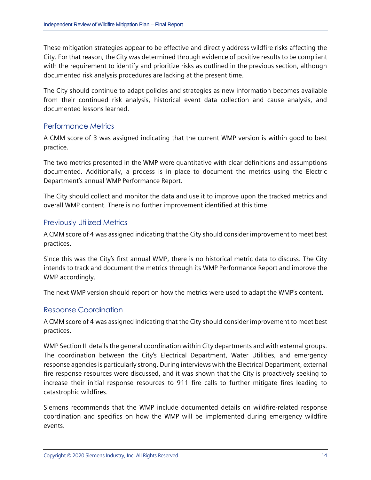These mitigation strategies appear to be effective and directly address wildfire risks affecting the City. For that reason, the City was determined through evidence of positive results to be compliant with the requirement to identify and prioritize risks as outlined in the previous section, although documented risk analysis procedures are lacking at the present time.

The City should continue to adapt policies and strategies as new information becomes available from their continued risk analysis, historical event data collection and cause analysis, and documented lessons learned.

#### Performance Metrics

A CMM score of 3 was assigned indicating that the current WMP version is within good to best practice.

The two metrics presented in the WMP were quantitative with clear definitions and assumptions documented. Additionally, a process is in place to document the metrics using the Electric Department's annual WMP Performance Report.

The City should collect and monitor the data and use it to improve upon the tracked metrics and overall WMP content. There is no further improvement identified at this time.

#### Previously Utilized Metrics

A CMM score of 4 was assigned indicating that the City should consider improvement to meet best practices.

Since this was the City's first annual WMP, there is no historical metric data to discuss. The City intends to track and document the metrics through its WMP Performance Report and improve the WMP accordingly.

The next WMP version should report on how the metrics were used to adapt the WMP's content.

#### Response Coordination

A CMM score of 4 was assigned indicating that the City should consider improvement to meet best practices.

WMP Section III details the general coordination within City departments and with external groups. The coordination between the City's Electrical Department, Water Utilities, and emergency response agencies is particularly strong. During interviews with the Electrical Department, external fire response resources were discussed, and it was shown that the City is proactively seeking to increase their initial response resources to 911 fire calls to further mitigate fires leading to catastrophic wildfires.

Siemens recommends that the WMP include documented details on wildfire-related response coordination and specifics on how the WMP will be implemented during emergency wildfire events.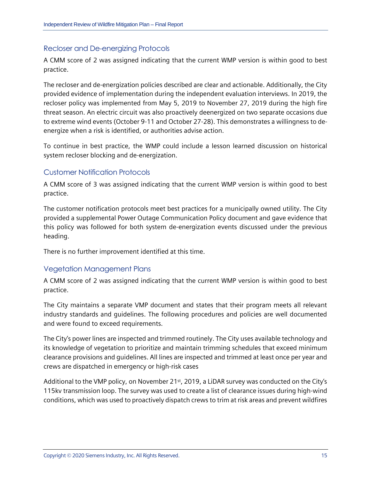#### Recloser and De-energizing Protocols

A CMM score of 2 was assigned indicating that the current WMP version is within good to best practice.

The recloser and de-energization policies described are clear and actionable. Additionally, the City provided evidence of implementation during the independent evaluation interviews. In 2019, the recloser policy was implemented from May 5, 2019 to November 27, 2019 during the high fire threat season. An electric circuit was also proactively deenergized on two separate occasions due to extreme wind events (October 9-11 and October 27-28). This demonstrates a willingness to deenergize when a risk is identified, or authorities advise action.

To continue in best practice, the WMP could include a lesson learned discussion on historical system recloser blocking and de-energization.

#### Customer Notification Protocols

A CMM score of 3 was assigned indicating that the current WMP version is within good to best practice.

The customer notification protocols meet best practices for a municipally owned utility. The City provided a supplemental Power Outage Communication Policy document and gave evidence that this policy was followed for both system de-energization events discussed under the previous heading.

There is no further improvement identified at this time.

#### Vegetation Management Plans

A CMM score of 2 was assigned indicating that the current WMP version is within good to best practice.

The City maintains a separate VMP document and states that their program meets all relevant industry standards and guidelines. The following procedures and policies are well documented and were found to exceed requirements.

The City's power lines are inspected and trimmed routinely. The City uses available technology and its knowledge of vegetation to prioritize and maintain trimming schedules that exceed minimum clearance provisions and guidelines. All lines are inspected and trimmed at least once per year and crews are dispatched in emergency or high-risk cases

Additional to the VMP policy, on November 21<sup>st</sup>, 2019, a LiDAR survey was conducted on the City's 115kv transmission loop. The survey was used to create a list of clearance issues during high-wind conditions, which was used to proactively dispatch crews to trim at risk areas and prevent wildfires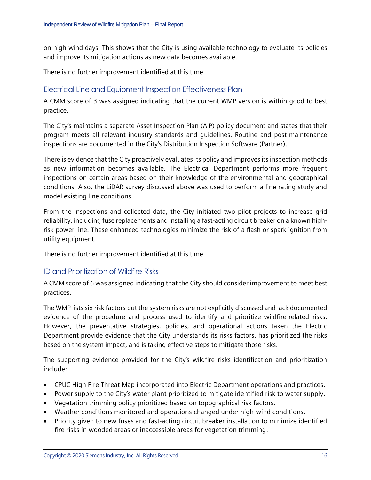on high-wind days. This shows that the City is using available technology to evaluate its policies and improve its mitigation actions as new data becomes available.

There is no further improvement identified at this time.

#### Electrical Line and Equipment Inspection Effectiveness Plan

A CMM score of 3 was assigned indicating that the current WMP version is within good to best practice.

The City's maintains a separate Asset Inspection Plan (AIP) policy document and states that their program meets all relevant industry standards and guidelines. Routine and post-maintenance inspections are documented in the City's Distribution Inspection Software (Partner).

There is evidence that the City proactively evaluates its policy and improves its inspection methods as new information becomes available. The Electrical Department performs more frequent inspections on certain areas based on their knowledge of the environmental and geographical conditions. Also, the LiDAR survey discussed above was used to perform a line rating study and model existing line conditions.

From the inspections and collected data, the City initiated two pilot projects to increase grid reliability, including fuse replacements and installing a fast-acting circuit breaker on a known highrisk power line. These enhanced technologies minimize the risk of a flash or spark ignition from utility equipment.

There is no further improvement identified at this time.

#### <span id="page-17-0"></span>ID and Prioritization of Wildfire Risks

A CMM score of 6 was assigned indicating that the City should consider improvement to meet best practices.

The WMP lists six risk factors but the system risks are not explicitly discussed and lack documented evidence of the procedure and process used to identify and prioritize wildfire-related risks. However, the preventative strategies, policies, and operational actions taken the Electric Department provide evidence that the City understands its risks factors, has prioritized the risks based on the system impact, and is taking effective steps to mitigate those risks.

The supporting evidence provided for the City's wildfire risks identification and prioritization include:

- CPUC High Fire Threat Map incorporated into Electric Department operations and practices.
- Power supply to the City's water plant prioritized to mitigate identified risk to water supply.
- Vegetation trimming policy prioritized based on topographical risk factors.
- Weather conditions monitored and operations changed under high-wind conditions.
- Priority given to new fuses and fast-acting circuit breaker installation to minimize identified fire risks in wooded areas or inaccessible areas for vegetation trimming.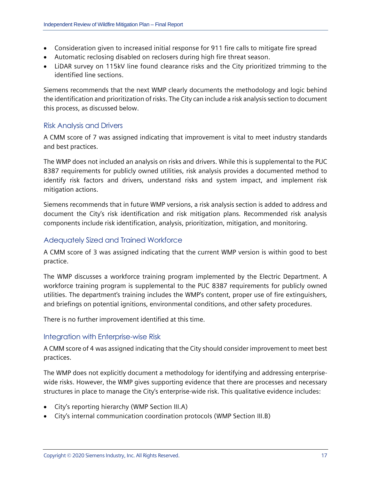- Consideration given to increased initial response for 911 fire calls to mitigate fire spread
- Automatic reclosing disabled on reclosers during high fire threat season.
- LiDAR survey on 115kV line found clearance risks and the City prioritized trimming to the identified line sections.

Siemens recommends that the next WMP clearly documents the methodology and logic behind the identification and prioritization of risks. The City can include a risk analysis section to document this process, as discussed below.

#### Risk Analysis and Drivers

A CMM score of 7 was assigned indicating that improvement is vital to meet industry standards and best practices.

The WMP does not included an analysis on risks and drivers. While this is supplemental to the PUC 8387 requirements for publicly owned utilities, risk analysis provides a documented method to identify risk factors and drivers, understand risks and system impact, and implement risk mitigation actions.

Siemens recommends that in future WMP versions, a risk analysis section is added to address and document the City's risk identification and risk mitigation plans. Recommended risk analysis components include risk identification, analysis, prioritization, mitigation, and monitoring.

#### Adequately Sized and Trained Workforce

A CMM score of 3 was assigned indicating that the current WMP version is within good to best practice.

The WMP discusses a workforce training program implemented by the Electric Department. A workforce training program is supplemental to the PUC 8387 requirements for publicly owned utilities. The department's training includes the WMP's content, proper use of fire extinguishers, and briefings on potential ignitions, environmental conditions, and other safety procedures.

There is no further improvement identified at this time.

#### <span id="page-18-0"></span>Integration with Enterprise-wise Risk

A CMM score of 4 was assigned indicating that the City should consider improvement to meet best practices.

The WMP does not explicitly document a methodology for identifying and addressing enterprisewide risks. However, the WMP gives supporting evidence that there are processes and necessary structures in place to manage the City's enterprise-wide risk. This qualitative evidence includes:

- City's reporting hierarchy (WMP Section III.A)
- City's internal communication coordination protocols (WMP Section III.B)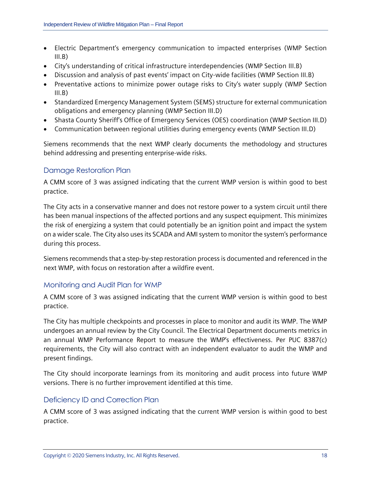- Electric Department's emergency communication to impacted enterprises (WMP Section  $III.B)$
- City's understanding of critical infrastructure interdependencies (WMP Section III.B)
- Discussion and analysis of past events' impact on City-wide facilities (WMP Section III.B)
- Preventative actions to minimize power outage risks to City's water supply (WMP Section  $III.B)$
- Standardized Emergency Management System (SEMS) structure for external communication obligations and emergency planning (WMP Section III.D)
- Shasta County Sheriff's Office of Emergency Services (OES) coordination (WMP Section III.D)
- Communication between regional utilities during emergency events (WMP Section III.D)

Siemens recommends that the next WMP clearly documents the methodology and structures behind addressing and presenting enterprise-wide risks.

#### Damage Restoration Plan

A CMM score of 3 was assigned indicating that the current WMP version is within good to best practice.

The City acts in a conservative manner and does not restore power to a system circuit until there has been manual inspections of the affected portions and any suspect equipment. This minimizes the risk of energizing a system that could potentially be an ignition point and impact the system on a wider scale. The City also uses its SCADA and AMI system to monitor the system's performance during this process.

Siemens recommends that a step-by-step restoration process is documented and referenced in the next WMP, with focus on restoration after a wildfire event.

#### Monitoring and Audit Plan for WMP

A CMM score of 3 was assigned indicating that the current WMP version is within good to best practice.

The City has multiple checkpoints and processes in place to monitor and audit its WMP. The WMP undergoes an annual review by the City Council. The Electrical Department documents metrics in an annual WMP Performance Report to measure the WMP's effectiveness. Per PUC 8387(c) requirements, the City will also contract with an independent evaluator to audit the WMP and present findings.

The City should incorporate learnings from its monitoring and audit process into future WMP versions. There is no further improvement identified at this time.

#### Deficiency ID and Correction Plan

A CMM score of 3 was assigned indicating that the current WMP version is within good to best practice.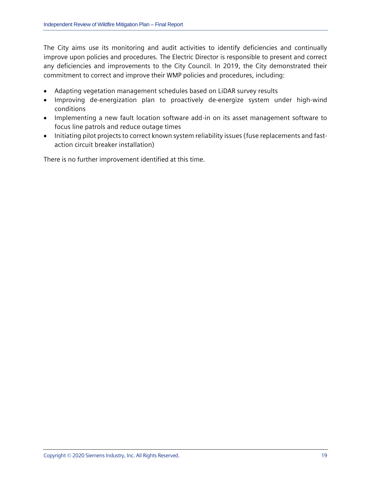The City aims use its monitoring and audit activities to identify deficiencies and continually improve upon policies and procedures. The Electric Director is responsible to present and correct any deficiencies and improvements to the City Council. In 2019, the City demonstrated their commitment to correct and improve their WMP policies and procedures, including:

- Adapting vegetation management schedules based on LiDAR survey results
- Improving de-energization plan to proactively de-energize system under high-wind conditions
- Implementing a new fault location software add-in on its asset management software to focus line patrols and reduce outage times
- Initiating pilot projects to correct known system reliability issues (fuse replacements and fastaction circuit breaker installation)

There is no further improvement identified at this time.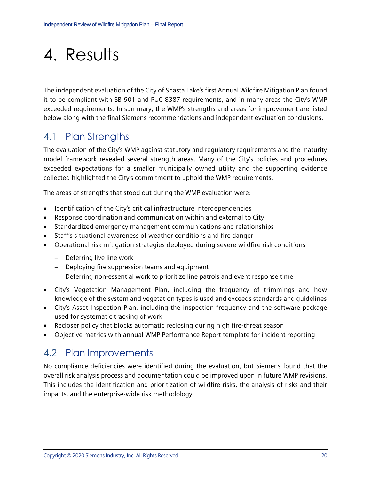# <span id="page-21-0"></span>4. Results

The independent evaluation of the City of Shasta Lake's first Annual Wildfire Mitigation Plan found it to be compliant with SB 901 and PUC 8387 requirements, and in many areas the City's WMP exceeded requirements. In summary, the WMP's strengths and areas for improvement are listed below along with the final Siemens recommendations and independent evaluation conclusions.

## <span id="page-21-1"></span>4.1 Plan Strengths

The evaluation of the City's WMP against statutory and regulatory requirements and the maturity model framework revealed several strength areas. Many of the City's policies and procedures exceeded expectations for a smaller municipally owned utility and the supporting evidence collected highlighted the City's commitment to uphold the WMP requirements.

The areas of strengths that stood out during the WMP evaluation were:

- Identification of the City's critical infrastructure interdependencies
- Response coordination and communication within and external to City
- Standardized emergency management communications and relationships
- Staff's situational awareness of weather conditions and fire danger
- Operational risk mitigation strategies deployed during severe wildfire risk conditions
	- − Deferring live line work
	- − Deploying fire suppression teams and equipment
	- − Deferring non-essential work to prioritize line patrols and event response time
- City's Vegetation Management Plan, including the frequency of trimmings and how knowledge of the system and vegetation types is used and exceeds standards and guidelines
- City's Asset Inspection Plan, including the inspection frequency and the software package used for systematic tracking of work
- Recloser policy that blocks automatic reclosing during high fire-threat season
- Objective metrics with annual WMP Performance Report template for incident reporting

### <span id="page-21-2"></span>4.2 Plan Improvements

No compliance deficiencies were identified during the evaluation, but Siemens found that the overall risk analysis process and documentation could be improved upon in future WMP revisions. This includes the identification and prioritization of wildfire risks, the analysis of risks and their impacts, and the enterprise-wide risk methodology.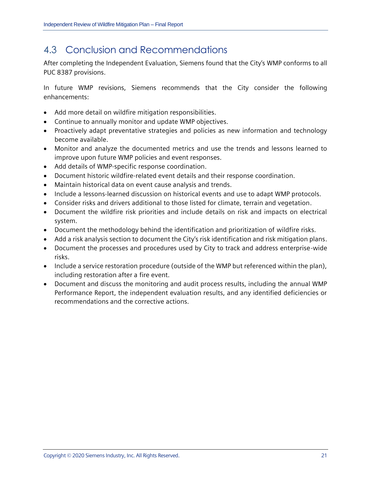## <span id="page-22-0"></span>4.3 Conclusion and Recommendations

After completing the Independent Evaluation, Siemens found that the City's WMP conforms to all PUC 8387 provisions.

In future WMP revisions, Siemens recommends that the City consider the following enhancements:

- Add more detail on wildfire mitigation responsibilities.
- Continue to annually monitor and update WMP objectives.
- Proactively adapt preventative strategies and policies as new information and technology become available.
- Monitor and analyze the documented metrics and use the trends and lessons learned to improve upon future WMP policies and event responses.
- Add details of WMP-specific response coordination.
- Document historic wildfire-related event details and their response coordination.
- Maintain historical data on event cause analysis and trends.
- Include a lessons-learned discussion on historical events and use to adapt WMP protocols.
- Consider risks and drivers additional to those listed for climate, terrain and vegetation.
- Document the wildfire risk priorities and include details on risk and impacts on electrical system.
- Document the methodology behind the identification and prioritization of wildfire risks.
- Add a risk analysis section to document the City's risk identification and risk mitigation plans.
- Document the processes and procedures used by City to track and address enterprise-wide risks.
- Include a service restoration procedure (outside of the WMP but referenced within the plan), including restoration after a fire event.
- Document and discuss the monitoring and audit process results, including the annual WMP Performance Report, the independent evaluation results, and any identified deficiencies or recommendations and the corrective actions.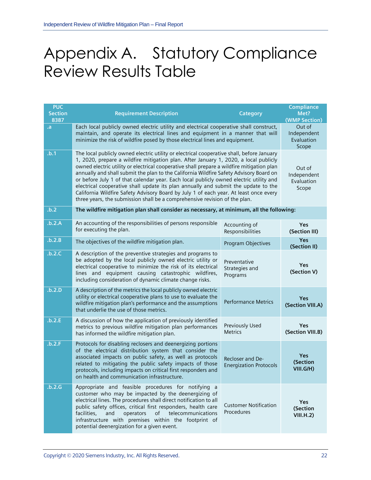## <span id="page-23-0"></span>Appendix A. Statutory Compliance Review Results Table

| <b>PUC</b><br><b>Section</b><br>8387 | <b>Requirement Description</b>                                                                                                                                                                                                                                                                                                                                                                                                                                                                                                                                                                                                                                                                                                  | <b>Category</b>                                   | <b>Compliance</b><br>Met?<br>(WMP Section)   |
|--------------------------------------|---------------------------------------------------------------------------------------------------------------------------------------------------------------------------------------------------------------------------------------------------------------------------------------------------------------------------------------------------------------------------------------------------------------------------------------------------------------------------------------------------------------------------------------------------------------------------------------------------------------------------------------------------------------------------------------------------------------------------------|---------------------------------------------------|----------------------------------------------|
| .a                                   | Each local publicly owned electric utility and electrical cooperative shall construct,<br>maintain, and operate its electrical lines and equipment in a manner that will<br>minimize the risk of wildfire posed by those electrical lines and equipment.                                                                                                                                                                                                                                                                                                                                                                                                                                                                        |                                                   | Out of<br>Independent<br>Evaluation<br>Scope |
| .b.1                                 | The local publicly owned electric utility or electrical cooperative shall, before January<br>1, 2020, prepare a wildfire mitigation plan. After January 1, 2020, a local publicly<br>owned electric utility or electrical cooperative shall prepare a wildfire mitigation plan<br>annually and shall submit the plan to the California Wildfire Safety Advisory Board on<br>or before July 1 of that calendar year. Each local publicly owned electric utility and<br>electrical cooperative shall update its plan annually and submit the update to the<br>California Wildfire Safety Advisory Board by July 1 of each year. At least once every<br>three years, the submission shall be a comprehensive revision of the plan. | Out of<br>Independent<br>Evaluation<br>Scope      |                                              |
| .b.2                                 | The wildfire mitigation plan shall consider as necessary, at minimum, all the following:                                                                                                                                                                                                                                                                                                                                                                                                                                                                                                                                                                                                                                        |                                                   |                                              |
| .b.2.A                               | An accounting of the responsibilities of persons responsible<br>for executing the plan.                                                                                                                                                                                                                                                                                                                                                                                                                                                                                                                                                                                                                                         | Accounting of<br>Responsibilities                 | <b>Yes</b><br>(Section III)                  |
| .b.2.B                               | The objectives of the wildfire mitigation plan.                                                                                                                                                                                                                                                                                                                                                                                                                                                                                                                                                                                                                                                                                 | Program Objectives                                | <b>Yes</b><br>(Section II)                   |
| .b.2.C                               | A description of the preventive strategies and programs to<br>be adopted by the local publicly owned electric utility or<br>electrical cooperative to minimize the risk of its electrical<br>lines and equipment causing catastrophic wildfires,<br>including consideration of dynamic climate change risks.                                                                                                                                                                                                                                                                                                                                                                                                                    | Preventative<br>Strategies and<br>Programs        | Yes<br>(Section V)                           |
| .b.2.D                               | A description of the metrics the local publicly owned electric<br>utility or electrical cooperative plans to use to evaluate the<br>wildfire mitigation plan's performance and the assumptions<br>that underlie the use of those metrics.                                                                                                                                                                                                                                                                                                                                                                                                                                                                                       | <b>Performance Metrics</b>                        | <b>Yes</b><br>(Section VIII.A)               |
| .b.2.E                               | A discussion of how the application of previously identified<br>metrics to previous wildfire mitigation plan performances<br>has informed the wildfire mitigation plan.                                                                                                                                                                                                                                                                                                                                                                                                                                                                                                                                                         | Previously Used<br><b>Metrics</b>                 | <b>Yes</b><br>(Section VIII.B)               |
| .b.2.F                               | Protocols for disabling reclosers and deenergizing portions<br>of the electrical distribution system that consider the<br>associated impacts on public safety, as well as protocols<br>related to mitigating the public safety impacts of those<br>protocols, including impacts on critical first responders and<br>on health and communication infrastructure.                                                                                                                                                                                                                                                                                                                                                                 | Recloser and De-<br><b>Energization Protocols</b> | <b>Yes</b><br>(Section<br>VIII.G/H)          |
| .b.2.G                               | Appropriate and feasible procedures for notifying a<br>customer who may be impacted by the deenergizing of<br>electrical lines. The procedures shall direct notification to all<br>public safety offices, critical first responders, health care<br>facilities,<br>and<br>operators<br>telecommunications<br>of<br>infrastructure with premises within the footprint of<br>potential deenergization for a given event.                                                                                                                                                                                                                                                                                                          | <b>Customer Notification</b><br>Procedures        | <b>Yes</b><br>(Section<br>VIII.H.2)          |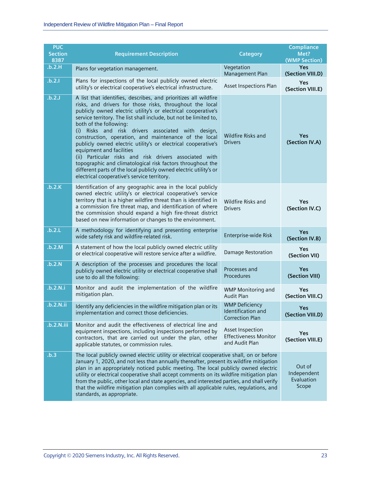| <b>PUC</b><br><b>Section</b><br>8387 | <b>Requirement Description</b>                                                                                                                                                                                                                                                                                                                                                                                                                                                                                                                                                                                                                                                                                                                         | Category                                                              | <b>Compliance</b><br>Met?<br>(WMP Section)   |
|--------------------------------------|--------------------------------------------------------------------------------------------------------------------------------------------------------------------------------------------------------------------------------------------------------------------------------------------------------------------------------------------------------------------------------------------------------------------------------------------------------------------------------------------------------------------------------------------------------------------------------------------------------------------------------------------------------------------------------------------------------------------------------------------------------|-----------------------------------------------------------------------|----------------------------------------------|
| .b.2.H                               | Plans for vegetation management.                                                                                                                                                                                                                                                                                                                                                                                                                                                                                                                                                                                                                                                                                                                       | Vegetation<br>Management Plan                                         | <b>Yes</b><br>(Section VIII.D)               |
| .b.2.1                               | Plans for inspections of the local publicly owned electric<br>utility's or electrical cooperative's electrical infrastructure.                                                                                                                                                                                                                                                                                                                                                                                                                                                                                                                                                                                                                         | Asset Inspections Plan                                                | Yes<br>(Section VIII.E)                      |
| .b.2.J                               | A list that identifies, describes, and prioritizes all wildfire<br>risks, and drivers for those risks, throughout the local<br>publicly owned electric utility's or electrical cooperative's<br>service territory. The list shall include, but not be limited to,<br>both of the following:<br>Risks and risk drivers associated with design,<br>(i)<br>construction, operation, and maintenance of the local<br>publicly owned electric utility's or electrical cooperative's<br>equipment and facilities<br>(ii) Particular risks and risk drivers associated with<br>topographic and climatological risk factors throughout the<br>different parts of the local publicly owned electric utility's or<br>electrical cooperative's service territory. | Wildfire Risks and<br><b>Drivers</b>                                  | Yes<br>(Section IV.A)                        |
| .b.2.K                               | Identification of any geographic area in the local publicly<br>owned electric utility's or electrical cooperative's service<br>territory that is a higher wildfire threat than is identified in<br>a commission fire threat map, and identification of where<br>the commission should expand a high fire-threat district<br>based on new information or changes to the environment.                                                                                                                                                                                                                                                                                                                                                                    | Wildfire Risks and<br><b>Drivers</b>                                  | Yes<br>(Section IV.C)                        |
| .b.2.L                               | A methodology for identifying and presenting enterprise<br>wide safety risk and wildfire-related risk.                                                                                                                                                                                                                                                                                                                                                                                                                                                                                                                                                                                                                                                 | Enterprise-wide Risk                                                  | <b>Yes</b><br>(Section IV.B)                 |
| .b.2.M                               | A statement of how the local publicly owned electric utility<br>or electrical cooperative will restore service after a wildfire.                                                                                                                                                                                                                                                                                                                                                                                                                                                                                                                                                                                                                       | <b>Damage Restoration</b>                                             | Yes<br>(Section VII)                         |
| .b.2.N                               | A description of the processes and procedures the local<br>publicly owned electric utility or electrical cooperative shall<br>use to do all the following:                                                                                                                                                                                                                                                                                                                                                                                                                                                                                                                                                                                             | Processes and<br>Procedures                                           | Yes<br>(Section VIII)                        |
| .b.2.N.i                             | Monitor and audit the implementation of the wildfire<br>mitigation plan.                                                                                                                                                                                                                                                                                                                                                                                                                                                                                                                                                                                                                                                                               | <b>WMP Monitoring and</b><br><b>Audit Plan</b>                        | Yes<br>(Section VIII.C)                      |
| .b.2.N.ii                            | Identify any deficiencies in the wildfire mitigation plan or its<br>implementation and correct those deficiencies.                                                                                                                                                                                                                                                                                                                                                                                                                                                                                                                                                                                                                                     | <b>WMP Deficiency</b><br>Identification and<br><b>Correction Plan</b> | Yes<br>(Section VIII.D)                      |
| .b.2.N.iii                           | Monitor and audit the effectiveness of electrical line and<br>equipment inspections, including inspections performed by<br>contractors, that are carried out under the plan, other<br>applicable statutes, or commission rules.                                                                                                                                                                                                                                                                                                                                                                                                                                                                                                                        | Asset Inspection<br><b>Effectiveness Monitor</b><br>and Audit Plan    | Yes<br>(Section VIII.E)                      |
| .b.3                                 | The local publicly owned electric utility or electrical cooperative shall, on or before<br>January 1, 2020, and not less than annually thereafter, present its wildfire mitigation<br>plan in an appropriately noticed public meeting. The local publicly owned electric<br>utility or electrical cooperative shall accept comments on its wildfire mitigation plan<br>from the public, other local and state agencies, and interested parties, and shall verify<br>that the wildfire mitigation plan complies with all applicable rules, regulations, and<br>standards, as appropriate.                                                                                                                                                               |                                                                       | Out of<br>Independent<br>Evaluation<br>Scope |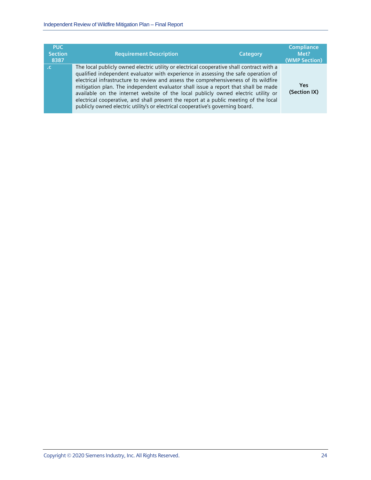| <b>PUC</b><br><b>Section</b><br>8387 | <b>Requirement Description</b>                                                                                                                                                                                                                                                                                                                                                                                                                                                                                                                                                                                                | Category | <b>Compliance</b><br>Met?<br>(WMP Section) |
|--------------------------------------|-------------------------------------------------------------------------------------------------------------------------------------------------------------------------------------------------------------------------------------------------------------------------------------------------------------------------------------------------------------------------------------------------------------------------------------------------------------------------------------------------------------------------------------------------------------------------------------------------------------------------------|----------|--------------------------------------------|
|                                      | The local publicly owned electric utility or electrical cooperative shall contract with a<br>qualified independent evaluator with experience in assessing the safe operation of<br>electrical infrastructure to review and assess the comprehensiveness of its wildfire<br>mitigation plan. The independent evaluator shall issue a report that shall be made<br>available on the internet website of the local publicly owned electric utility or<br>electrical cooperative, and shall present the report at a public meeting of the local<br>publicly owned electric utility's or electrical cooperative's governing board. |          | Yes<br>(Section IX)                        |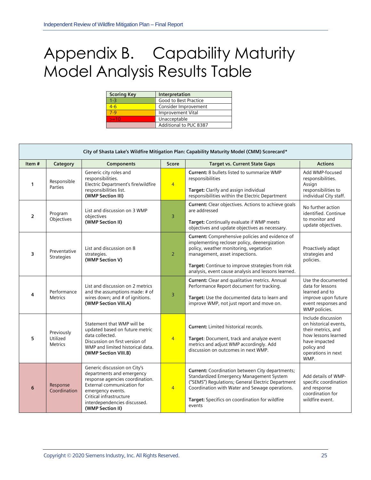## <span id="page-26-0"></span>Appendix B. Capability Maturity Model Analysis Results Table

| <b>Scoring Key</b> | Interpretation         |
|--------------------|------------------------|
| $1 - 3$            | Good to Best Practice  |
| 4-6                | Consider Improvement   |
| 7-9                | Improvement Vital      |
| $>=10$             | Unacceptable           |
|                    | Additional to PUC 8387 |

|                                         | City of Shasta Lake's Wildfire Mitigation Plan: Capability Maturity Model (CMM) Scorecard* |                                                                                                                                                                                                                                |                |                                                                                                                                                                                                                                                                                               |                                                                                                                                                       |  |  |
|-----------------------------------------|--------------------------------------------------------------------------------------------|--------------------------------------------------------------------------------------------------------------------------------------------------------------------------------------------------------------------------------|----------------|-----------------------------------------------------------------------------------------------------------------------------------------------------------------------------------------------------------------------------------------------------------------------------------------------|-------------------------------------------------------------------------------------------------------------------------------------------------------|--|--|
| Item#                                   | Category                                                                                   | <b>Components</b>                                                                                                                                                                                                              | <b>Score</b>   | <b>Target vs. Current State Gaps</b>                                                                                                                                                                                                                                                          | <b>Actions</b>                                                                                                                                        |  |  |
| $\mathbf 1$                             | Responsible<br>Parties                                                                     | Generic city roles and<br>responsibilities.<br>Electric Department's fire/wildfire<br>responsibilities list.<br>(WMP Section III)                                                                                              | $\overline{4}$ | <b>Current: 8 bullets listed to summarize WMP</b><br>responsibilities<br>Target: Clarify and assign individual<br>responsibilities within the Electric Department                                                                                                                             | Add WMP-focused<br>responsibilities.<br>Assign<br>responsibilities to<br>individual City staff.                                                       |  |  |
| Program<br>$\overline{2}$<br>Objectives |                                                                                            | List and discussion on 3 WMP<br>obiectives<br>(WMP Section II)                                                                                                                                                                 | 3              | <b>Current:</b> Clear objectives. Actions to achieve goals<br>are addressed<br>Target: Continually evaluate if WMP meets<br>objectives and update objectives as necessary.                                                                                                                    | No further action<br>identified. Continue<br>to monitor and<br>update objectives.                                                                     |  |  |
| 3                                       | Preventative<br><b>Strategies</b>                                                          | List and discussion on 8<br>strategies.<br>(WMP Section V)                                                                                                                                                                     | $\overline{2}$ | <b>Current:</b> Comprehensive policies and evidence of<br>implementing recloser policy, deenergization<br>policy, weather monitoring, vegetation<br>management, asset inspections.<br>Target: Continue to improve strategies from risk<br>analysis, event cause analysis and lessons learned. | Proactively adapt<br>strategies and<br>policies.                                                                                                      |  |  |
| 4                                       | Performance<br><b>Metrics</b>                                                              | List and discussion on 2 metrics<br>and the assumptions made: # of<br>wires down; and # of ignitions.<br>(WMP Section VIII.A)                                                                                                  | 3              | Current: Clear and qualitative metrics. Annual<br>Performance Report document for tracking.<br>Target: Use the documented data to learn and<br>improve WMP, not just report and move on.                                                                                                      | Use the documented<br>data for lessons<br>learned and to<br>improve upon future<br>event responses and<br>WMP policies.                               |  |  |
| 5                                       | Previously<br>Utilized<br><b>Metrics</b>                                                   | Statement that WMP will be<br>updated based on future metric<br>data collected.<br>Discussion on first version of<br>WMP and limited historical data.<br>(WMP Section VIII.B)                                                  | $\overline{4}$ | <b>Current: Limited historical records.</b><br>Target: Document, track and analyze event<br>metrics and adjust WMP accordingly. Add<br>discussion on outcomes in next WMP.                                                                                                                    | Include discussion<br>on historical events.<br>their metrics, and<br>how lessons learned<br>have impacted<br>policy and<br>operations in next<br>WMP. |  |  |
| 6                                       | Response<br>Coordination                                                                   | Generic discussion on City's<br>departments and emergency<br>response agencies coordination.<br>External communication for<br>emergency events.<br>Critical infrastructure<br>interdependencies discussed.<br>(WMP Section II) | $\overline{4}$ | Current: Coordination between City departments;<br>Standardized Emergency Management System<br>("SEMS") Regulations; General Electric Department<br>Coordination with Water and Sewage operations.<br>Target: Specifics on coordination for wildfire<br>events                                | Add details of WMP-<br>specific coordination<br>and response<br>coordination for<br>wildfire event.                                                   |  |  |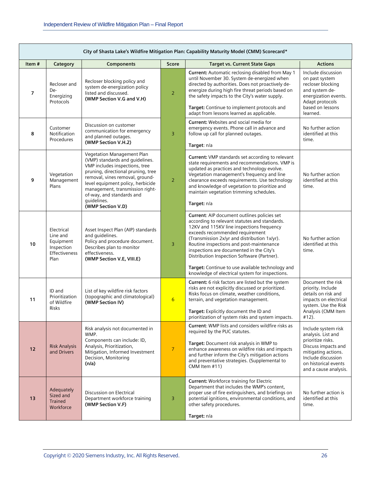$\sqrt{2}$ 

|                      | City of Shasta Lake's Wildfire Mitigation Plan: Capability Maturity Model (CMM) Scorecard* |                                                                                                                                                                                                                                                                                                                   |                 |                                                                                                                                                                                                                                                                                                                                                                                                                                                                            |                                                                                                                                                                                     |
|----------------------|--------------------------------------------------------------------------------------------|-------------------------------------------------------------------------------------------------------------------------------------------------------------------------------------------------------------------------------------------------------------------------------------------------------------------|-----------------|----------------------------------------------------------------------------------------------------------------------------------------------------------------------------------------------------------------------------------------------------------------------------------------------------------------------------------------------------------------------------------------------------------------------------------------------------------------------------|-------------------------------------------------------------------------------------------------------------------------------------------------------------------------------------|
| Item $#$<br>Category |                                                                                            | <b>Components</b>                                                                                                                                                                                                                                                                                                 | Score           | <b>Target vs. Current State Gaps</b>                                                                                                                                                                                                                                                                                                                                                                                                                                       | <b>Actions</b>                                                                                                                                                                      |
| $\overline{7}$       | Recloser and<br>De-<br>Energizing<br>Protocols                                             | Recloser blocking policy and<br>system de-energization policy<br>listed and discussed.<br>(WMP Section V.G and V.H)                                                                                                                                                                                               | 2               | Current: Automatic reclosing disabled from May 1<br>until November 30. System de-energized when<br>directed by authorities. Does not proactively de-<br>energize during high fire threat periods based on<br>the safety impacts to the City's water supply.<br>Target: Continue to implement protocols and<br>adapt from lessons learned as applicable.                                                                                                                    | Include discussion<br>on past system<br>recloser blocking<br>and system de-<br>energization events.<br>Adapt protocols<br>based on lessons<br>learned.                              |
| 8                    | Customer<br>Notification<br>Procedures                                                     | Discussion on customer<br>communication for emergency<br>and planned outages.<br>(WMP Section V.H.2)                                                                                                                                                                                                              | $\overline{3}$  | <b>Current:</b> Websites and social media for<br>emergency events. Phone call in advance and<br>follow up call for planned outages.<br>Target: n/a                                                                                                                                                                                                                                                                                                                         | No further action<br>identified at this<br>time.                                                                                                                                    |
| 9                    | Vegetation<br>Management<br>Plans                                                          | Vegetation Management Plan<br>(VMP) standards and guidelines.<br>VMP includes inspections, tree<br>pruning, directional pruning, tree<br>removal, vines removal, ground-<br>level equipment policy, herbicide<br>management, transmission right-<br>of-way, and standards and<br>guidelines.<br>(WMP Section V.D) | $\overline{2}$  | Current: VMP standards set according to relevant<br>state requirements and recommendations. VMP is<br>updated as practices and technology evolve.<br>Vegetation management's frequency and line<br>clearance exceeds requirements. Use technology<br>and knowledge of vegetation to prioritize and<br>maintain vegetation trimming schedules.<br>Target: n/a                                                                                                               | No further action<br>identified at this<br>time.                                                                                                                                    |
| 10                   | Electrical<br>Line and<br>Equipment<br>Inspection<br>Effectiveness<br>Plan                 | Asset Inspect Plan (AIP) standards<br>and guidelines.<br>Policy and procedure document.<br>Describes plan to monitor<br>effectiveness.<br>(WMP Section V.E, VIII.E)                                                                                                                                               | 3               | Current: AIP document outlines policies set<br>according to relevant statutes and standards.<br>12KV and 115KV line inspections frequency<br>exceeds recommended requirement<br>(Transmission 2x/yr and distribution 1x/yr).<br>Routine inspections and post-maintenance<br>inspections are documented in the City's<br>Distribution Inspection Software (Partner).<br>Target: Continue to use available technology and<br>knowledge of electrical system for inspections. | No further action<br>identified at this<br>time.                                                                                                                                    |
| 11                   | ID and<br>Prioritization<br>of Wildfire<br>Risks                                           | List of key wildfire risk factors<br>(topographic and climatological)<br>(WMP Section IV)                                                                                                                                                                                                                         | $6\overline{6}$ | Current: 6 risk factors are listed but the system<br>risks are not explicitly discussed or prioritized.<br>Risks focus on climate, weather conditions,<br>terrain, and vegetation management.<br>Target: Explicitly document the ID and<br>prioritization of system risks and system impacts.                                                                                                                                                                              | Document the risk<br>priority. Include<br>details on risk and<br>impacts on electrical<br>system. Use the Risk<br>Analysis (CMM Item<br>$#12$ ).                                    |
| 12                   | <b>Risk Analysis</b><br>and Drivers                                                        | Risk analysis not documented in<br>WMP.<br>Components can include: ID,<br>Analysis, Prioritization,<br>Mitigation, Informed Investment<br>Decision, Monitoring<br>(n/a)                                                                                                                                           | $\overline{7}$  | Current: WMP lists and considers wildfire risks as<br>required by the PUC statutes.<br>Target: Document risk analysis in WMP to<br>enhance awareness on wildfire risks and impacts<br>and further inform the City's mitigation actions<br>and preventative strategies. (Supplemental to<br>CMM Item #11)                                                                                                                                                                   | Include system risk<br>analysis. List and<br>prioritize risks.<br>Discuss impacts and<br>mitigating actions.<br>Include discussion<br>on historical events<br>and a cause analysis. |
| 13                   | Adequately<br>Sized and<br><b>Trained</b><br>Workforce                                     | Discussion on Electrical<br>Department workforce training<br>(WMP Section V.F)                                                                                                                                                                                                                                    | 3               | <b>Current: Workforce training for Electric</b><br>Department that includes the WMP's content,<br>proper use of fire extinguishers, and briefings on<br>potential ignitions, environmental conditions, and<br>other safety procedures.<br>Target: n/a                                                                                                                                                                                                                      | No further action is<br>identified at this<br>time.                                                                                                                                 |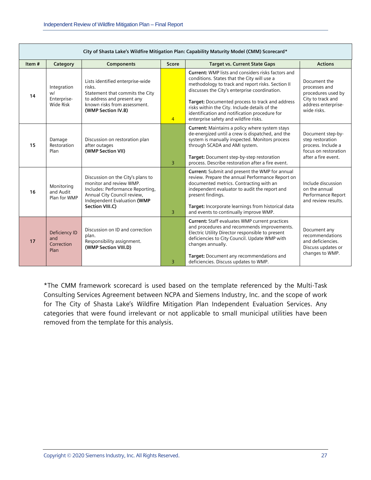Е

|       | City of Shasta Lake's Wildfire Mitigation Plan: Capability Maturity Model (CMM) Scorecard* |                                                                                                                                                                                   |                |                                                                                                                                                                                                                                                                                                                                                                                                              |                                                                                                                |  |
|-------|--------------------------------------------------------------------------------------------|-----------------------------------------------------------------------------------------------------------------------------------------------------------------------------------|----------------|--------------------------------------------------------------------------------------------------------------------------------------------------------------------------------------------------------------------------------------------------------------------------------------------------------------------------------------------------------------------------------------------------------------|----------------------------------------------------------------------------------------------------------------|--|
| Item# | Category                                                                                   | <b>Components</b>                                                                                                                                                                 | <b>Score</b>   | <b>Target vs. Current State Gaps</b>                                                                                                                                                                                                                                                                                                                                                                         | <b>Actions</b>                                                                                                 |  |
| 14    | Integration<br>wl<br>Enterprise-<br>Wide Risk                                              | Lists identified enterprise-wide<br>risks.<br>Statement that commits the City<br>to address and present any<br>known risks from assessment.<br>(WMP Section IV.B)                 | $\overline{4}$ | <b>Current:</b> WMP lists and considers risks factors and<br>conditions. States that the City will use a<br>methodology to track and report risks. Section II<br>discusses the City's enterprise coordination.<br>Target: Documented process to track and address<br>risks within the City. Include details of the<br>identification and notification procedure for<br>enterprise safety and wildfire risks. | Document the<br>processes and<br>procedures used by<br>City to track and<br>address enterprise-<br>wide risks. |  |
| 15    | Damage<br>Restoration<br>Plan                                                              | Discussion on restoration plan<br>after outages<br>(WMP Section VII)                                                                                                              | $\overline{3}$ | <b>Current:</b> Maintains a policy where system stays<br>de-energized until a crew is dispatched, and the<br>system is manually inspected. Monitors process<br>through SCADA and AMI system.<br>Target: Document step-by-step restoration<br>process. Describe restoration after a fire event.                                                                                                               | Document step-by-<br>step restoration<br>process. Include a<br>focus on restoration<br>after a fire event.     |  |
| 16    | Monitoring<br>and Audit<br>Plan for WMP                                                    | Discussion on the City's plans to<br>monitor and review WMP.<br>Includes: Performance Reporting,<br>Annual City Council review,<br>Independent Evaluation (WMP<br>Section VIII.C) | 3              | <b>Current:</b> Submit and present the WMP for annual<br>review. Prepare the annual Performance Report on<br>documented metrics. Contracting with an<br>independent evaluator to audit the report and<br>present findings.<br>Target: Incorporate learnings from historical data<br>and events to continually improve WMP.                                                                                   | Include discussion<br>on the annual<br>Performance Report<br>and review results.                               |  |
| 17    | Deficiency ID<br>and<br>Correction<br>Plan                                                 | Discussion on ID and correction<br>plan.<br>Responsibility assignment.<br>(WMP Section VIII.D)                                                                                    | 3              | <b>Current: Staff evaluates WMP current practices</b><br>and procedures and recommends improvements.<br>Electric Utility Director responsible to present<br>deficiencies to City Council. Update WMP with<br>changes annually.<br>Target: Document any recommendations and<br>deficiencies. Discuss updates to WMP.                                                                                          | Document any<br>recommendations<br>and deficiencies.<br>Discuss updates or<br>changes to WMP.                  |  |

\*The CMM framework scorecard is used based on the template referenced by the Multi-Task Consulting Services Agreement between NCPA and Siemens Industry, Inc. and the scope of work for The City of Shasta Lake's Wildfire Mitigation Plan Independent Evaluation Services. Any categories that were found irrelevant or not applicable to small municipal utilities have been removed from the template for this analysis.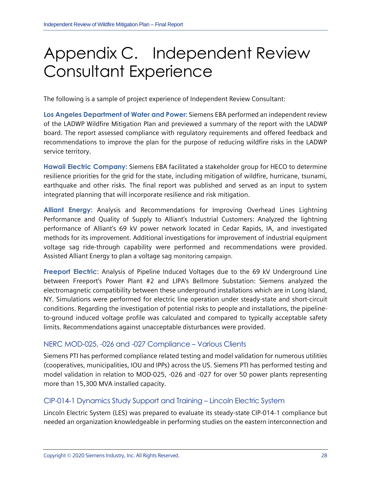## <span id="page-29-0"></span>Appendix C. Independent Review Consultant Experience

The following is a sample of project experience of Independent Review Consultant:

**Los Angeles Department of Water and Power:** Siemens EBA performed an independent review of the LADWP Wildfire Mitigation Plan and previewed a summary of the report with the LADWP board. The report assessed compliance with regulatory requirements and offered feedback and recommendations to improve the plan for the purpose of reducing wildfire risks in the LADWP service territory.

**Hawaii Electric Company:** Siemens EBA facilitated a stakeholder group for HECO to determine resilience priorities for the grid for the state, including mitigation of wildfire, hurricane, tsunami, earthquake and other risks. The final report was published and served as an input to system integrated planning that will incorporate resilience and risk mitigation.

**Alliant Energy:** Analysis and Recommendations for Improving Overhead Lines Lightning Performance and Quality of Supply to Alliant's Industrial Customers: Analyzed the lightning performance of Alliant's 69 kV power network located in Cedar Rapids, IA, and investigated methods for its improvement. Additional investigations for improvement of industrial equipment voltage sag ride-through capability were performed and recommendations were provided. Assisted Alliant Energy to plan a voltage sag monitoring campaign.

**Freeport Electric:** Analysis of Pipeline Induced Voltages due to the 69 kV Underground Line between Freeport's Power Plant #2 and LIPA's Bellmore Substation: Siemens analyzed the electromagnetic compatibility between these underground installations which are in Long Island, NY. Simulations were performed for electric line operation under steady-state and short-circuit conditions. Regarding the investigation of potential risks to people and installations, the pipelineto-ground induced voltage profile was calculated and compared to typically acceptable safety limits. Recommendations against unacceptable disturbances were provided.

#### NERC MOD-025, -026 and -027 Compliance – Various Clients

Siemens PTI has performed compliance related testing and model validation for numerous utilities (cooperatives, municipalities, IOU and IPPs) across the US. Siemens PTI has performed testing and model validation in relation to MOD-025, -026 and -027 for over 50 power plants representing more than 15,300 MVA installed capacity.

#### CIP-014-1 Dynamics Study Support and Training – Lincoln Electric System

Lincoln Electric System (LES) was prepared to evaluate its steady-state CIP-014-1 compliance but needed an organization knowledgeable in performing studies on the eastern interconnection and